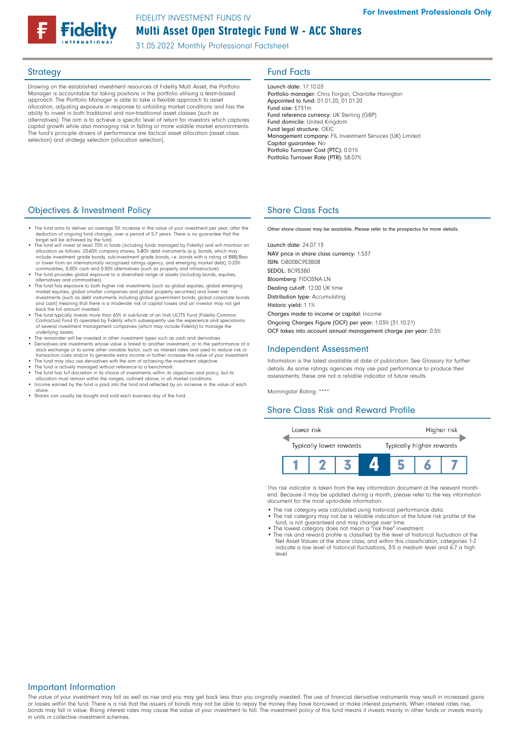# Multi Asset Open Strategic Fund W - ACC Shares FIDELITY INVESTMENT FUNDS IV

31.05.2022 Monthly Professional Factsheet

Drawing on the established investment resources of Fidelity Multi Asset, the Portfolio Manager is accountable for taking positions in the portfolio utilising a team-based approach. The Portfolio Manager is able to take a flexible approach to asset allocation, adjusting exposure in response to unfolding market conditions and has the ability to invest in both traditional and non-traditional asset classes (such as alternatives). The aim is to achieve a specific level of return for investors which captures capital growth while also managing risk in falling or more volatile market environments. The fund's principle drivers of performance are tactical asset allocation (asset class selection) and strategy selection (allocation selection).

# Strategy **Fund Facts**

Launch date: 17.10.03 Portfolio manager: Chris Forgan, Charlotte Harington Appointed to fund: 01.01.20, 01.01.20 Fund size: £731m Fund reference currency: UK Sterling (GBP) Fund domicile: United Kingdom Fund legal structure: OEIC Management company: FIL Investment Services (UK) Limited Capital guarantee: No Portfolio Turnover Cost (PTC): 0.01% Portfolio Turnover Rate (PTR): 58.07%

## **Objectives & Investment Policy Share Class Facts** Share Class Facts

- The fund aims to deliver an average 5% increase in the value of your investment per year, after the deduction of ongoing fund charges, over a period of 5-7 years. There is no guarantee that the target will be achieved by the fund.
- The fund will invest at least 70% in funds (including funds managed by Fidelity) and will maintain an •<br>allocation as follows: 20-60% company shares, 5-80% debt instruments (e.g. bonds, which may<br>include investment grade
- or lower from an internationally recognised ratings agency, and emerging market debt), 0-20%<br>commodities, 0-30% cash and 0-30% alternatives (such as property and infrastructure).<br>• The fund provides global exposure to a di
- alternatives and commodities). The fund has exposure to both higher risk investments (such as global equities, global emerging market equities, global smaller companies and global property securities) and lower risk<br>investments (such as debt instruments including global government bonds, global corporate bonds<br>and cash) meaning that there is a mod back the full amount invested.
- The fund typically invests more than 65% in sub-funds of an Irish UCITS Fund (Fidelity Common Contractual Fund II) operated by Fidelity which subsequently use the experience and specialisms of several investment management companies (which may include Fidelity) to manage the underlying assets.
- The remainder will be invested in other investment types such as cash and derivatives.<br>• Derivatives are investments whose value is linked to another investment, or to the performance of a<br>stock exchange or to some other
- transaction costs and/or to generate extra income or further increase the value of your investment.<br>• The fund may also use derivatives with the aim of achieving the investment objective.<br>• The fund is actively managed wi
- 
- The fund has full discretion in its choice of investments within its objectives and policy, but its<br>| allocation must remain within the ranges, outlined above, in all market conditions.<br>| Income earned by the fund is paid
- share. Shares can usually be bought and sold each business day of the fund.

Other share classes may be available. Please refer to the prospectus for more details.

Launch date: 24.07.13 NAV price in share class currency: 1.537 ISIN: GB00BC9S3B08 SEDOL: BC9S3B0 Bloomberg: FIDOSNA LN Dealing cut-off: 12:00 UK time Distribution type: Accumulating Historic yield: 1.1% Charges made to income or capital: Income Ongoing Charges Figure (OCF) per year: 1.03% (31.10.21) OCF takes into account annual management charge per year: 0.5%

### Independent Assessment

Information is the latest available at date of publication. See Glossary for further details. As some ratings agencies may use past performance to produce their assessments, these are not a reliable indicator of future results.

Morningstar Rating: \*\*\*\*

## Share Class Risk and Reward Profile



This risk indicator is taken from the key information document at the relevant monthend. Because it may be updated during a month, please refer to the key information document for the most up-to-date information.

- The risk category was calculated using historical performance data.
- The risk category may not be a reliable indication of the future risk profile of the fund, is not guaranteed and may change over time.
- The lowest category does not mean a "risk free" investment.
- The risk and reward profile is classified by the level of historical fluctuation of the Net Asset Values of the share class, and within this classification, categories 1-2 indicate a low level of historical fluctuations, 3-5 a medium level and 6-7 a high level.

### Important Information

The value of your investment may fall as well as rise and you may get back less than you originally invested. The use of financial derivative instruments may result in increased gains or losses within the fund. There is a risk that the issuers of bonds may not be able to repay the money they have borrowed or make interest payments. When interest rates rise, bonds may fall in value. Rising interest rates may cause the value of your investment to fall. The investment policy of this fund means it invests mainly in other funds or invests mainly in units in collective investment schemes.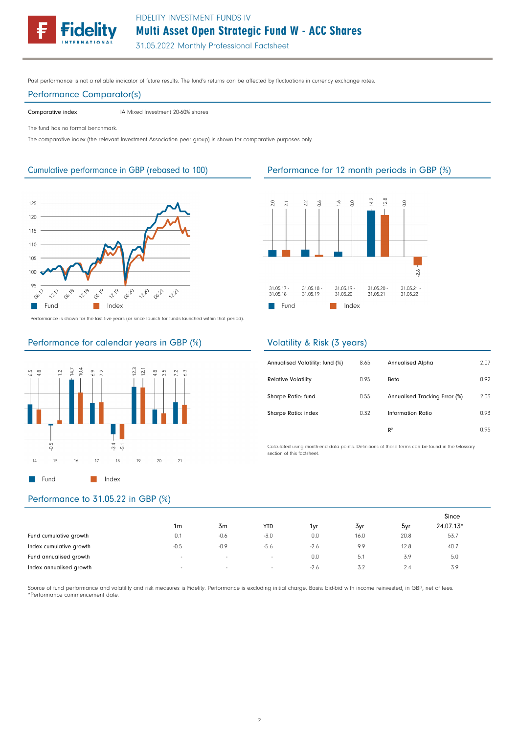FIDELITY INVESTMENT FUNDS IV

Multi Asset Open Strategic Fund W - ACC Shares

31.05.2022 Monthly Professional Factsheet

Past performance is not a reliable indicator of future results. The fund's returns can be affected by fluctuations in currency exchange rates.

### Performance Comparator(s)

Comparative index IA Mixed Investment 20-60% shares

The fund has no formal benchmark.

The comparative index (the relevant Investment Association peer group) is shown for comparative purposes only.



Cumulative performance in GBP (rebased to 100) Performance for 12 month periods in GBP (%)



Performance is shown for the last five years (or since launch for funds launched within that period).

### Performance for calendar years in GBP (%)



# Volatility & Risk (3 years)

| Annualised Volatility: fund (%) | 8.65 | <b>Annualised Alpha</b>       | 2.07 |
|---------------------------------|------|-------------------------------|------|
| <b>Relative Volatility</b>      | 0.95 | Beta                          | 0.92 |
| Sharpe Ratio: fund              | 0.55 | Annualised Tracking Error (%) | 2.03 |
| Sharpe Ratio: index             | 0.32 | Information Ratio             | 0.93 |
|                                 |      | R <sup>2</sup>                | 0.95 |

Calculated using month-end data points. Definitions of these terms can be found in the Glossary section of this factsheet.

# Performance to 31.05.22 in GBP (%)

|                         |                          |        |            |        |      |      | Since     |
|-------------------------|--------------------------|--------|------------|--------|------|------|-----------|
|                         | 1m                       | 3m     | <b>YTD</b> | 1vr    | 3yr  | 5yr  | 24.07.13* |
| Fund cumulative growth  | 0.1                      | $-0.6$ | $-3.0$     | 0.0    | 16.0 | 20.8 | 53.7      |
| Index cumulative growth | $-0.5$                   | $-0.9$ | $-5.6$     | $-2.6$ | 9.9  | 12.8 | 40.7      |
| Fund annualised growth  | $\sim$                   | $\sim$ | $\sim$     | 0.0    | 5.1  | 3.9  | 5.0       |
| Index annualised growth | $\overline{\phantom{a}}$ | $\sim$ | $\sim$     | $-2.6$ | 3.2  | 2.4  | 3.9       |

Source of fund performance and volatility and risk measures is Fidelity. Performance is excluding initial charge. Basis: bid-bid with income reinvested, in GBP, net of fees. \*Performance commencement date.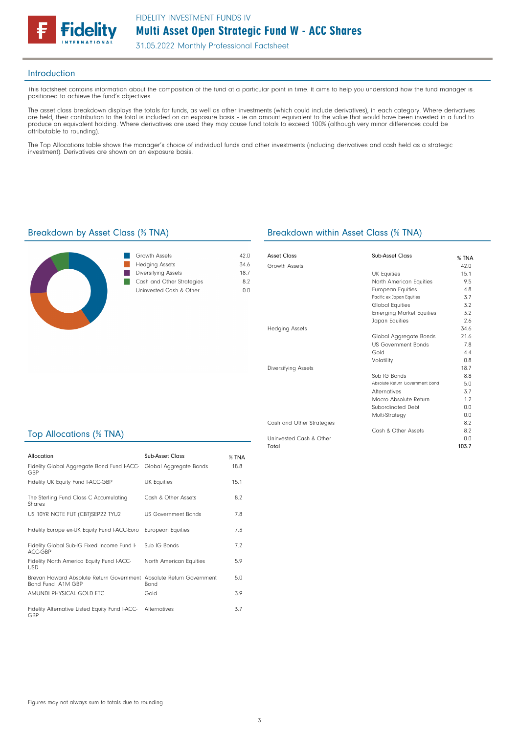

31.05.2022 Monthly Professional Factsheet

### Introduction

This factsheet contains information about the composition of the fund at a particular point in time. It aims to help you understand how the fund manager is positioned to achieve the fund's objectives.

The asset class breakdown displays the totals for funds, as well as other investments (which could include derivatives), in each category. Where derivatives are held, their contribution to the total is included on an exposure basis – ie an amount equivalent to the value that would have been invested in a fund to produce an equivalent holding. Where derivatives are used they may cause fund totals to exceed 100% (although very minor differences could be attributable to rounding).

The Top Allocations table shows the manager's choice of individual funds and other investments (including derivatives and cash held as a strategic investment). Derivatives are shown on an exposure basis.



| Growth Assets             | 42 N |
|---------------------------|------|
| <b>Hedging Assets</b>     | 346  |
| Diversifying Assets       | 187  |
| Cash and Other Strategies | 82   |
| Uninvested Cash & Other   | n n  |
|                           |      |

## Breakdown by Asset Class (% TNA) Breakdown within Asset Class (% TNA)

| Asset Class               | Sub-Asset Class                 | % TNA |
|---------------------------|---------------------------------|-------|
| Growth Assets             |                                 | 42.0  |
|                           | <b>UK Equities</b>              | 15.1  |
|                           | North American Equities         | 9.5   |
|                           | <b>European Equities</b>        | 4.8   |
|                           | Pacific ex Japan Equities       | 3.7   |
|                           | Global Equities                 | 3.2   |
|                           | <b>Emerging Market Equities</b> | 3.2   |
|                           | Japan Equities                  | 2.6   |
| <b>Hedging Assets</b>     |                                 | 34.6  |
|                           | Global Aggregate Bonds          | 21.6  |
|                           | <b>US Government Bonds</b>      | 7.8   |
|                           | Gold                            | 4.4   |
|                           | Volatility                      | 0.8   |
| Diversifying Assets       |                                 | 18.7  |
|                           | Sub IG Bonds                    | 8.8   |
|                           | Absolute Return Government Bond | 5.0   |
|                           | <b>Alternatives</b>             | 3.7   |
|                           | Macro Absolute Return           | 1.2   |
|                           | Subordinated Debt               | 0.0   |
|                           | Multi-Strategy                  | 0.0   |
| Cash and Other Strategies |                                 | 8.2   |
|                           | Cash & Other Assets             | 8.2   |
| Uninvested Cash & Other   |                                 | 0.0   |
| Total                     |                                 | 103.7 |

## Top Allocations (% TNA)

| Allocation                                                                               | Sub-Asset Class            | % TNA |
|------------------------------------------------------------------------------------------|----------------------------|-------|
| Fidelity Global Aggregate Bond Fund I-ACC-<br>GBP                                        | Global Aggregate Bonds     | 18.8  |
| Fidelity UK Equity Fund I-ACC-GBP                                                        | UK Equities                | 15.1  |
| The Sterling Fund Class C Accumulating<br>Shares                                         | Cash & Other Assets        | 8.2   |
| US 10YR NOTE FUT (CBT)SEP22 TYU2                                                         | <b>US Government Bonds</b> | 78    |
| Fidelity Europe ex-UK Equity Fund I-ACC-Euro                                             | European Equities          | 7.3   |
| Fidelity Global Sub-IG Fixed Income Fund I-<br>ACC-GBP                                   | Sub IG Bonds               | 7.2   |
| Fidelity North America Equity Fund I-ACC-<br><b>USD</b>                                  | North American Equities    | 5.9   |
| Brevan Howard Absolute Return Government Absolute Return Government<br>Bond Fund A1M GBP | <b>Bond</b>                | 5.0   |
| AMUNDI PHYSICAL GOLD ETC                                                                 | Gold                       | 3.9   |
| Fidelity Alternative Listed Equity Fund I-ACC-<br>GBP                                    | Alternatives               | 3.7   |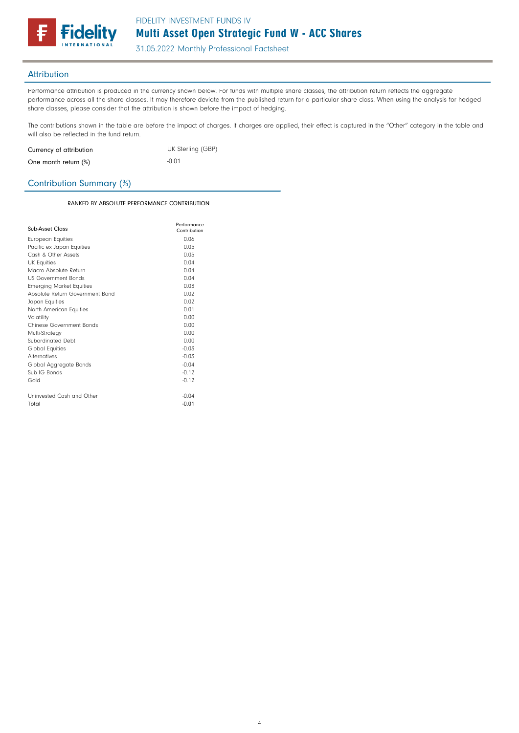

31.05.2022 Monthly Professional Factsheet

## Attribution

Performance attribution is produced in the currency shown below. For funds with multiple share classes, the attribution return reflects the aggregate performance across all the share classes. It may therefore deviate from the published return for a particular share class. When using the analysis for hedged share classes, please consider that the attribution is shown before the impact of hedging.

The contributions shown in the table are before the impact of charges. If charges are applied, their effect is captured in the "Other" category in the table and will also be reflected in the fund return.

| Currency of attribution | UK Sterling (GBP) |
|-------------------------|-------------------|
| One month return $(\%)$ | $-0.01$           |

## Contribution Summary (%)

RANKED BY ABSOLUTE PERFORMANCE CONTRIBUTION

| Sub-Asset Class                 | Performance<br>Contribution |
|---------------------------------|-----------------------------|
| European Equities               | 0.06                        |
| Pacific ex Japan Equities       | 0.05                        |
| Cash & Other Assets             | 0.05                        |
| <b>UK Equities</b>              | 0.04                        |
| Macro Absolute Return           | 0.04                        |
| <b>US Government Bonds</b>      | n <sub>0</sub>              |
| <b>Emerging Market Equities</b> | 0.03                        |
| Absolute Return Government Bond | 0.02                        |
| Japan Equities                  | 0.02                        |
| North American Equities         | 0.01                        |
| Volatility                      | 0.00                        |
| Chinese Government Bonds        | 0.00                        |
| Multi-Strategy                  | 0.00                        |
| Subordinated Debt               | 0.00                        |
| <b>Global Equities</b>          | $-0.03$                     |
| Alternatives                    | $-0.03$                     |
| Global Aggregate Bonds          | $-0.04$                     |
| Sub IG Bonds                    | $-0.12$                     |
| Gold                            | $-0.12$                     |
| Uninvested Cash and Other       | $-0.04$                     |
| Total                           | $-0.01$                     |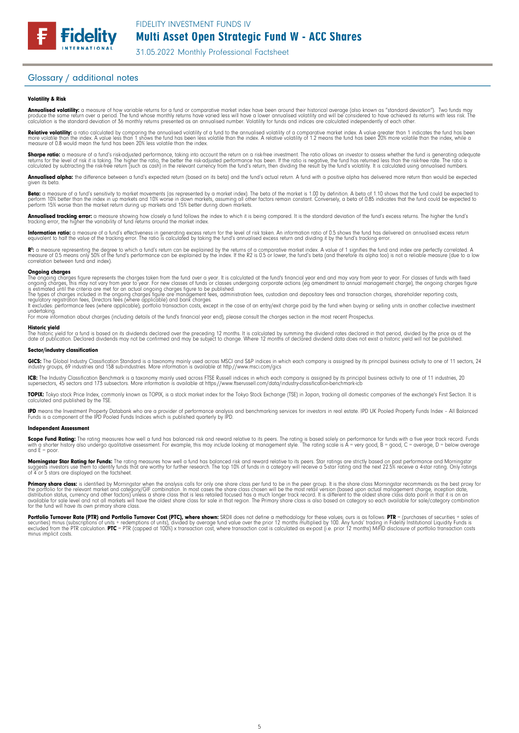# Multi Asset Open Strategic Fund W - ACC Shares

31.05.2022 Monthly Professional Factsheet

## Glossary / additional notes

**Fidelity** 

### Volatility & Risk

**Annualised volatility:** a measure of how variable returns for a fund or comparative market index have been around their historical average (also known as "standard deviation"). Two funds may<br>produce the same return over a calculation is the standard deviation of 36 monthly returns presented as an annualised number. Volatility for funds and indices are calculated independently of each other.

**Relative volatility:** a ratio calculated by comparing the annualised volatility of a fund to the annualised volatility of a comparative market index. A value greater than 1 indicates the fund has been<br>more volatile than t measure of 0.8 would mean the fund has been 20% less volatile than the index.

**Sharpe ratio:** a measure of a fund's risk-adjusted performance, taking into account the return on a risk-free investment. The ratio allows an investor to assess whether the fund is generating adequate the fund is generati

**Annualised alpha:** the difference between a fund's expected return (based on its beta) and the fund's actual return. A fund with a positive alpha has delivered more return than would be expected given its beto

**Beta:** a measure of a fund's sensitivity to market movements (as represented by a market index). The beta of the market is 1.00 by definition. A beta of 1.10 shows that the fund could be expected to<br>perform 10% better tha

**Annualised tracking error:** a measure showing how closely a fund follows the index to which it is being compared. It is the standard deviation of the fund's excess returns. The higher the fund's<br>tracking error, the higher

**Information ratio:** a measure of a fund's effectiveness in generating excess return for the level of risk taken. An information ratio of 0.5 shows the fund has delivered an annualised excess return<br>equivalent to half the

R": a measure representing the degree to which a fund's return can be explained by the returns of a comparative market index. A value of 1 signifies the fund and index are perfectly correlated. A<br>measure of 0.5 means only correlation between fund and index).

### **Ongoing charges**<br>The ongoing charge

The ongoing charges figure represents the charges taken from the fund over a year. It is calculated at the fund's financial year end and may vary from year to year. For classes of funds with fixed<br>ongoing charges, this may

The types of charges included in the ongoing charges figure are management fees, administration fees, custodian and depositary fees and transaction charges, shareholder reporting costs,<br>regulatory registration fees, Direct

undertaking. For more information about charges (including details of the fund's financial year end), please consult the charges section in the most recent Prospectus.

### Historic yield

The historic yield for a fund is based on its dividends declared over the preceding 12 months. It is calculated by summing the dividend rates declared in that period, divided by the price as at the<br>date of publication. Dec

### Sector/industry classification

**GICS:** The Global Industry Classification Standard is a taxonomy mainly used across MSCI and S&P indices in which each company is assigned by its principal business activity to one of 11 sectors, 24<br>industry groups, 69 in

**ICB:** The Industry Classification Benchmark is a taxonomy mainly used across FTSE Russell indices in which each company is assigned by its principal business activity to one of 11 industries, 20<br>supersectors, 45 sectors a

**TOPIX:** Tokyo stock Price Index, commonly known as TOPIX, is a stock market index for the Tokyo Stock Exchange (TSE) in Japan, tracking all domestic companies of the exchange's First Section. It is<br>calculated and publishe

**IPD** means the Investment Property Databank who are a provider of performance analysis and benchmarking services for investors in real estate. IPD UK Pooled Property Funds Index - All Balanced<br>Funds is a component of the

### Independent Assessment

**Scope Fund Rating:** The rating measures how well a fund has balanced risk and reward relative to its peers. The rating is based solely on performance for funds with a five year track record. Funds<br>with a shorter history a and  $F =$  poor.

**Morningstar Star Rating for Funds:** The rating measures how well a fund has balanced risk and reward relative to its peers. Star ratings are strictly based on past performance and Morningstar<br>suggests investors use them t

**Primary share class:** is identified by Morningstar when the analysis calls tor only one share class per fund to be in the peer group. It is the share class Morningstar recommends as the best proxy for<br>the portfolio for th

Portfolio Turnover Rate (PTR) and Portfolio Turnover Cost (PTC), where shown: SRDII does not define a methodology for these values; ours is as follows: PTR = (purchases of securities + sales of<br>securities) minus (subscript minus implicit costs.